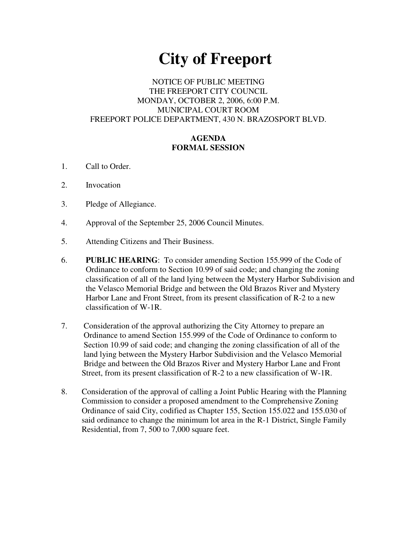# **City of Freeport**

## NOTICE OF PUBLIC MEETING THE FREEPORT CITY COUNCIL MONDAY, OCTOBER 2, 2006, 6:00 P.M. MUNICIPAL COURT ROOM FREEPORT POLICE DEPARTMENT, 430 N. BRAZOSPORT BLVD.

## **AGENDA FORMAL SESSION**

- 1. Call to Order.
- 2. Invocation
- 3. Pledge of Allegiance.
- 4. Approval of the September 25, 2006 Council Minutes.
- 5. Attending Citizens and Their Business.
- 6. **PUBLIC HEARING**: To consider amending Section 155.999 of the Code of Ordinance to conform to Section 10.99 of said code; and changing the zoning classification of all of the land lying between the Mystery Harbor Subdivision and the Velasco Memorial Bridge and between the Old Brazos River and Mystery Harbor Lane and Front Street, from its present classification of R-2 to a new classification of W-1R.
- 7. Consideration of the approval authorizing the City Attorney to prepare an Ordinance to amend Section 155.999 of the Code of Ordinance to conform to Section 10.99 of said code; and changing the zoning classification of all of the land lying between the Mystery Harbor Subdivision and the Velasco Memorial Bridge and between the Old Brazos River and Mystery Harbor Lane and Front Street, from its present classification of R-2 to a new classification of W-1R.
- 8. Consideration of the approval of calling a Joint Public Hearing with the Planning Commission to consider a proposed amendment to the Comprehensive Zoning Ordinance of said City, codified as Chapter 155, Section 155.022 and 155.030 of said ordinance to change the minimum lot area in the R-1 District, Single Family Residential, from 7, 500 to 7,000 square feet.